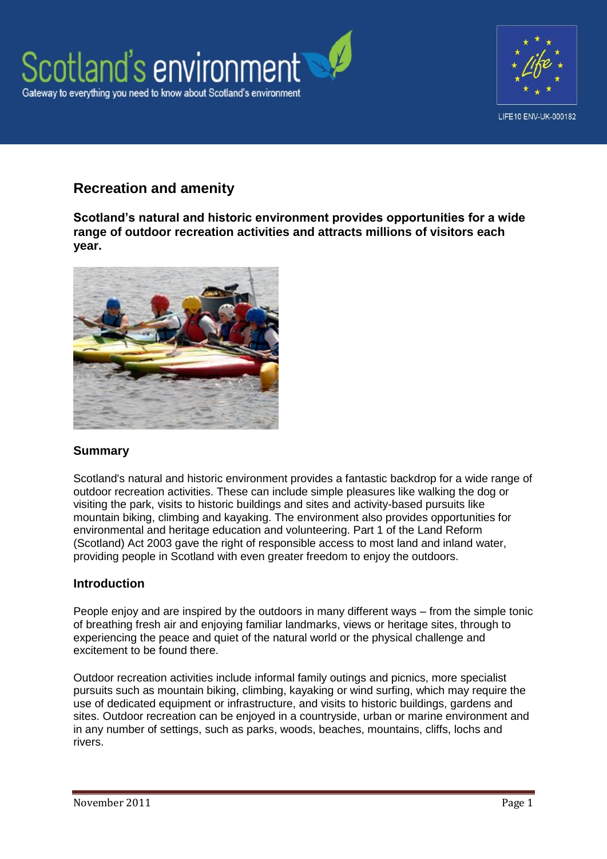



# **Recreation and amenity**

**Scotland's natural and historic environment provides opportunities for a wide range of outdoor recreation activities and attracts millions of visitors each year.**



# **Summary**

Scotland's natural and historic environment provides a fantastic backdrop for a wide range of outdoor recreation activities. These can include simple pleasures like walking the dog or visiting the park, visits to historic buildings and sites and activity-based pursuits like mountain biking, climbing and kayaking. The environment also provides opportunities for environmental and heritage education and volunteering. Part 1 of the Land Reform (Scotland) Act 2003 gave the right of responsible access to most land and inland water. providing people in Scotland with even greater freedom to enjoy the outdoors.

# **Introduction**

People enjoy and are inspired by the outdoors in many different ways – from the simple tonic of breathing fresh air and enjoying familiar landmarks, views or heritage sites, through to experiencing the peace and quiet of the natural world or the physical challenge and excitement to be found there.

Outdoor recreation activities include informal family outings and picnics, more specialist pursuits such as mountain biking, climbing, kayaking or wind surfing, which may require the use of dedicated equipment or infrastructure, and visits to historic buildings, gardens and sites. Outdoor recreation can be enjoyed in a countryside, urban or marine environment and in any number of settings, such as parks, woods, beaches, mountains, cliffs, lochs and rivers.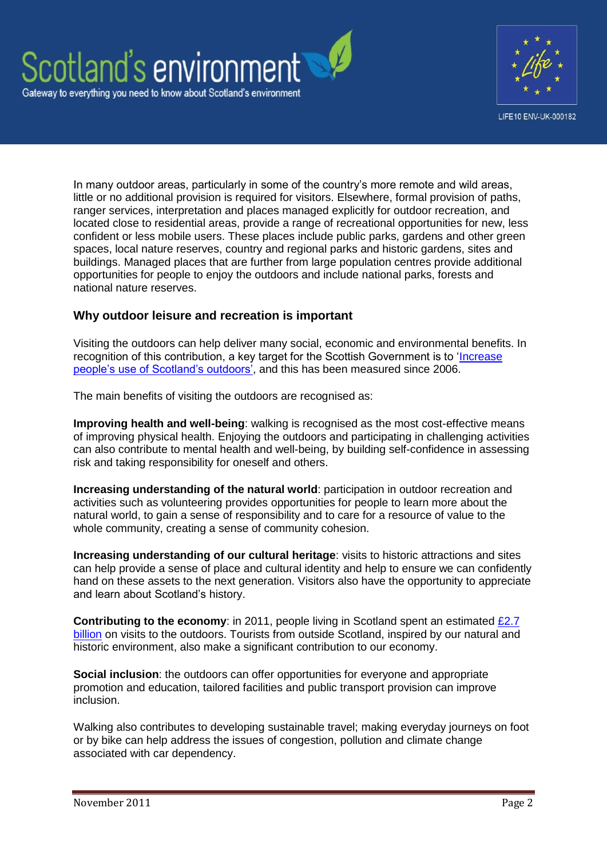



In many outdoor areas, particularly in some of the country's more remote and wild areas, little or no additional provision is required for visitors. Elsewhere, formal provision of paths, ranger services, interpretation and places managed explicitly for outdoor recreation, and located close to residential areas, provide a range of recreational opportunities for new, less confident or less mobile users. These places include public parks, gardens and other green spaces, local nature reserves, country and regional parks and historic gardens, sites and buildings. Managed places that are further from large population centres provide additional opportunities for people to enjoy the outdoors and include national parks, forests and national nature reserves.

# **Why outdoor leisure and recreation is important**

Visiting the outdoors can help deliver many social, economic and environmental benefits. In recognition of this contribution, a key target for the Scottish Government is to ['Increase](http://www.scotland.gov.uk/About/Performance/scotPerforms/indicator/outdoors)  [people's use of Scotland's outdoors',](http://www.scotland.gov.uk/About/Performance/scotPerforms/indicator/outdoors) and this has been measured since 2006.

The main benefits of visiting the outdoors are recognised as:

**Improving health and well-being**: walking is recognised as the most cost-effective means of improving physical health. Enjoying the outdoors and participating in challenging activities can also contribute to mental health and well-being, by building self-confidence in assessing risk and taking responsibility for oneself and others.

**Increasing understanding of the natural world**: participation in outdoor recreation and activities such as volunteering provides opportunities for people to learn more about the natural world, to gain a sense of responsibility and to care for a resource of value to the whole community, creating a sense of community cohesion.

**Increasing understanding of our cultural heritage**: visits to historic attractions and sites can help provide a sense of place and cultural identity and help to ensure we can confidently hand on these assets to the next generation. Visitors also have the opportunity to appreciate and learn about Scotland's history.

**Contributing to the economy**: in 2011, people living in Scotland spent an estimated [£2.7](http://www.snh.gov.uk/publications-data-and-research/publications/search-the-catalogue/publication-detail/?id=1947)  [billion](http://www.snh.gov.uk/publications-data-and-research/publications/search-the-catalogue/publication-detail/?id=1947) on visits to the outdoors. Tourists from outside Scotland, inspired by our natural and historic environment, also make a significant contribution to our economy.

**Social inclusion:** the outdoors can offer opportunities for everyone and appropriate promotion and education, tailored facilities and public transport provision can improve inclusion.

Walking also contributes to developing sustainable travel; making everyday journeys on foot or by bike can help address the issues of congestion, pollution and climate change associated with car dependency.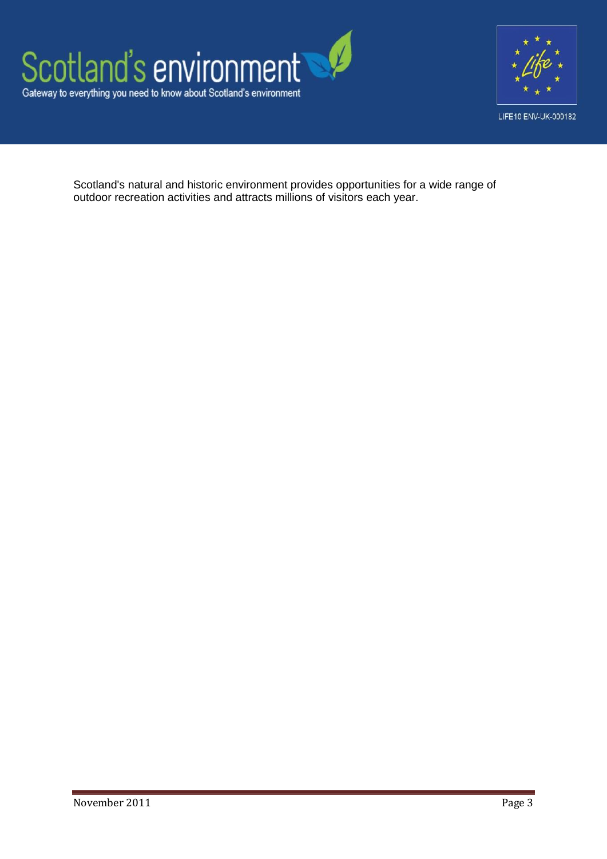



Scotland's natural and historic environment provides opportunities for a wide range of outdoor recreation activities and attracts millions of visitors each year.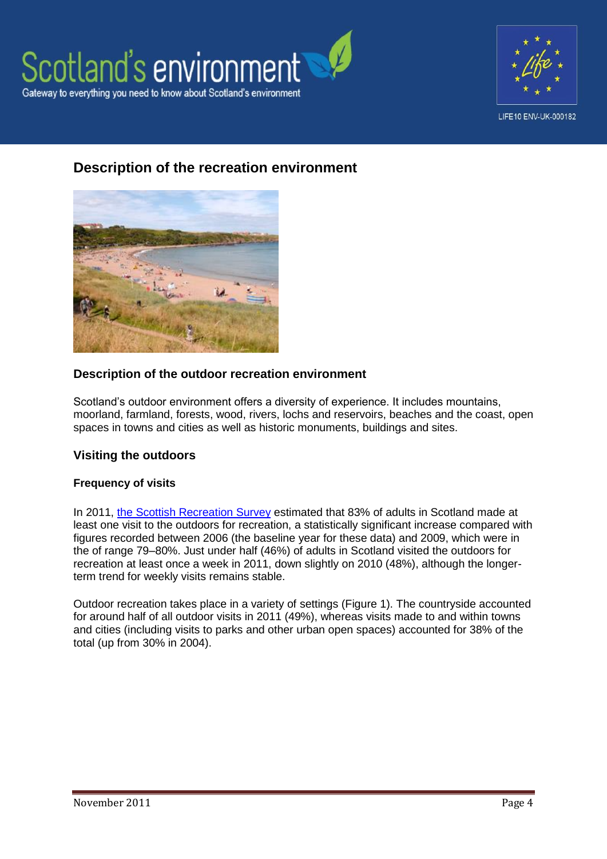



# **Description of the recreation environment**



## **Description of the outdoor recreation environment**

Scotland's outdoor environment offers a diversity of experience. It includes mountains, moorland, farmland, forests, wood, rivers, lochs and reservoirs, beaches and the coast, open spaces in towns and cities as well as historic monuments, buildings and sites.

## **Visiting the outdoors**

#### **Frequency of visits**

In 2011, [the Scottish Recreation Survey](http://www.snh.gov.uk/publications-data-and-research/publications/search-the-catalogue/publication-detail/?id=1947) estimated that 83% of adults in Scotland made at least one visit to the outdoors for recreation, a statistically significant increase compared with figures recorded between 2006 (the baseline year for these data) and 2009, which were in the of range 79–80%. Just under half (46%) of adults in Scotland visited the outdoors for recreation at least once a week in 2011, down slightly on 2010 (48%), although the longerterm trend for weekly visits remains stable.

Outdoor recreation takes place in a variety of settings (Figure 1). The countryside accounted for around half of all outdoor visits in 2011 (49%), whereas visits made to and within towns and cities (including visits to parks and other urban open spaces) accounted for 38% of the total (up from 30% in 2004).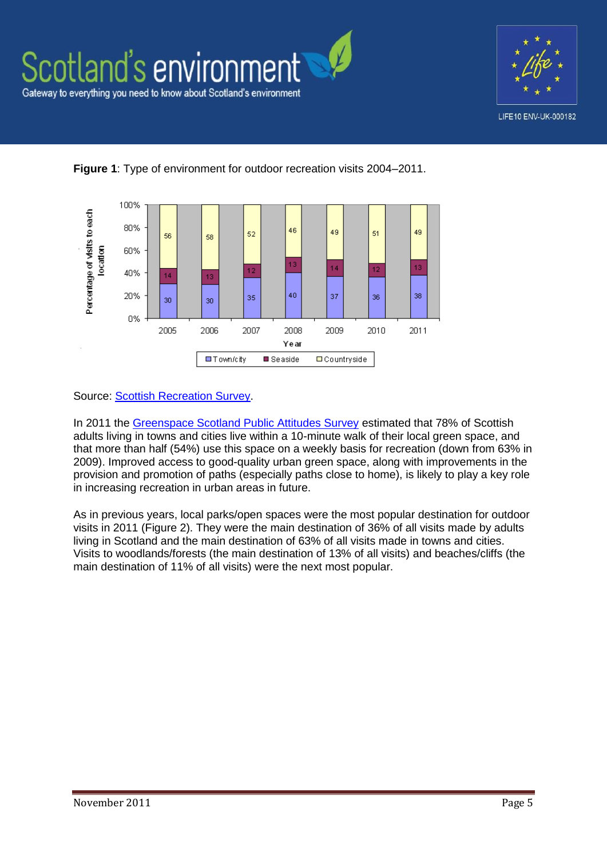





**Figure 1**: Type of environment for outdoor recreation visits 2004–2011.

Source: **Scottish Recreation Survey.** 

In 2011 the [Greenspace Scotland Public Attitudes Survey](http://www.greenspacescotland.org.uk/1greenspace-survey-2011.aspx) estimated that 78% of Scottish adults living in towns and cities live within a 10-minute walk of their local green space, and that more than half (54%) use this space on a weekly basis for recreation (down from 63% in 2009). Improved access to good-quality urban green space, along with improvements in the provision and promotion of paths (especially paths close to home), is likely to play a key role in increasing recreation in urban areas in future.

As in previous years, local parks/open spaces were the most popular destination for outdoor visits in 2011 (Figure 2). They were the main destination of 36% of all visits made by adults living in Scotland and the main destination of 63% of all visits made in towns and cities. Visits to woodlands/forests (the main destination of 13% of all visits) and beaches/cliffs (the main destination of 11% of all visits) were the next most popular.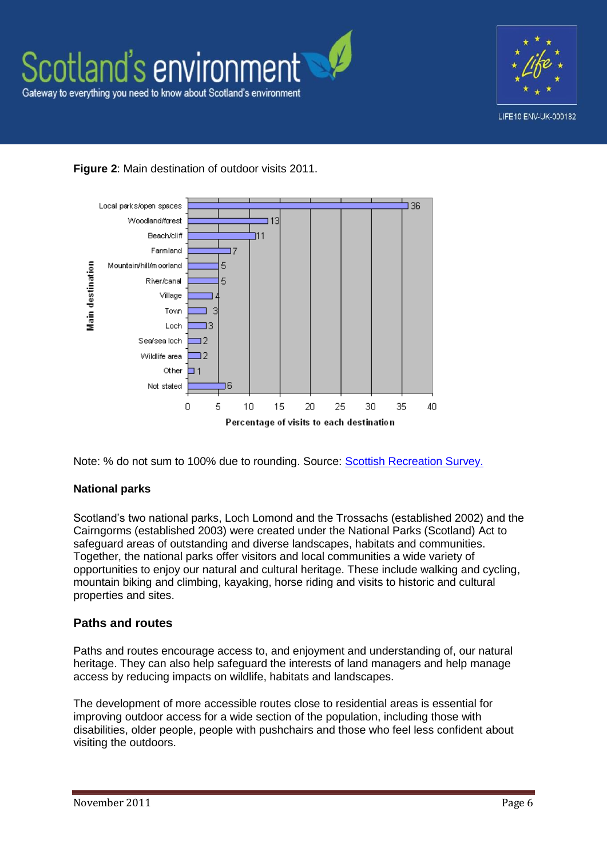





Note: % do not sum to 100% due to rounding. Source: [Scottish Recreation Survey.](http://www.greenspacescotland.org.uk/1greenspace-survey-2011.aspx)

## **National parks**

Scotland's two national parks, Loch Lomond and the Trossachs (established 2002) and the Cairngorms (established 2003) were created under the National Parks (Scotland) Act to safeguard areas of outstanding and diverse landscapes, habitats and communities. Together, the national parks offer visitors and local communities a wide variety of opportunities to enjoy our natural and cultural heritage. These include walking and cycling, mountain biking and climbing, kayaking, horse riding and visits to historic and cultural properties and sites.

# **Paths and routes**

Paths and routes encourage access to, and enjoyment and understanding of, our natural heritage. They can also help safeguard the interests of land managers and help manage access by reducing impacts on wildlife, habitats and landscapes.

The development of more accessible routes close to residential areas is essential for improving outdoor access for a wide section of the population, including those with disabilities, older people, people with pushchairs and those who feel less confident about visiting the outdoors.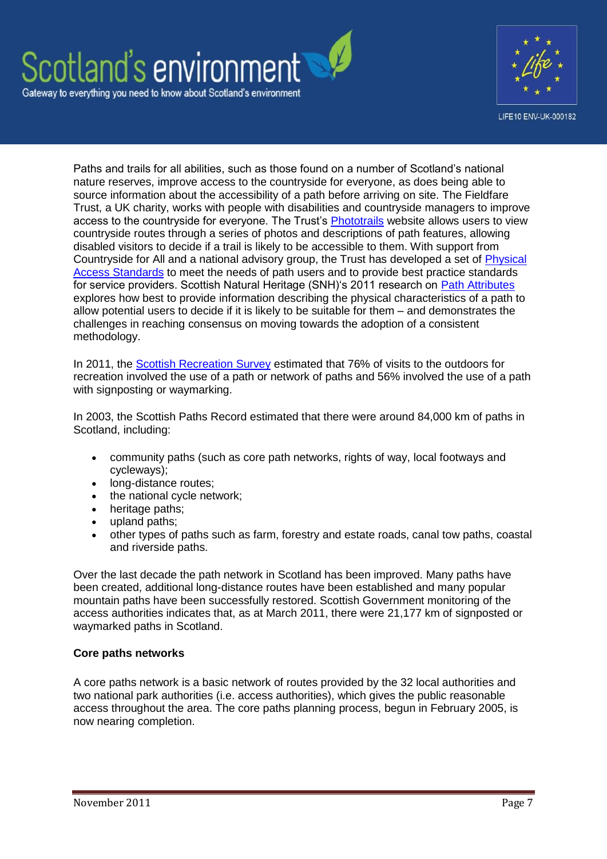



Paths and trails for all abilities, such as those found on a number of Scotland's national nature reserves, improve access to the countryside for everyone, as does being able to source information about the accessibility of a path before arriving on site. The Fieldfare Trust, a UK charity, works with people with disabilities and countryside managers to improve access to the countryside for everyone. The Trust's [Phototrails](http://www.phototrails.org/) website allows users to view countryside routes through a series of photos and descriptions of path features, allowing disabled visitors to decide if a trail is likely to be accessible to them. With support from Countryside for All and a national advisory group, the Trust has developed a set of Physical [Access Standards](http://www.fieldfare.org.uk/?page_id=48) to meet the needs of path users and to provide best practice standards for service providers. Scottish Natural Heritage (SNH)'s 2011 research on [Path Attributes](http://www.snh.gov.uk/publications-data-and-research/publications/search-the-catalogue/publication-detail/?id=1763) explores how best to provide information describing the physical characteristics of a path to allow potential users to decide if it is likely to be suitable for them – and demonstrates the challenges in reaching consensus on moving towards the adoption of a consistent methodology.

In 2011, the [Scottish Recreation Survey](http://www.snh.gov.uk/publications-data-and-research/publications/search-the-catalogue/publication-detail/?id=1947) estimated that 76% of visits to the outdoors for recreation involved the use of a path or network of paths and 56% involved the use of a path with signposting or waymarking.

In 2003, the Scottish Paths Record estimated that there were around 84,000 km of paths in Scotland, including:

- community paths (such as core path networks, rights of way, local footways and cycleways);
- long-distance routes;
- the national cycle network;<br>• heritage paths:
- heritage paths;
- upland paths:
- other types of paths such as farm, forestry and estate roads, canal tow paths, coastal and riverside paths.

Over the last decade the path network in Scotland has been improved. Many paths have been created, additional long-distance routes have been established and many popular mountain paths have been successfully restored. Scottish Government monitoring of the access authorities indicates that, as at March 2011, there were 21,177 km of signposted or waymarked paths in Scotland.

#### **Core paths networks**

A core paths network is a basic network of routes provided by the 32 local authorities and two national park authorities (i.e. access authorities), which gives the public reasonable access throughout the area. The core paths planning process, begun in February 2005, is now nearing completion.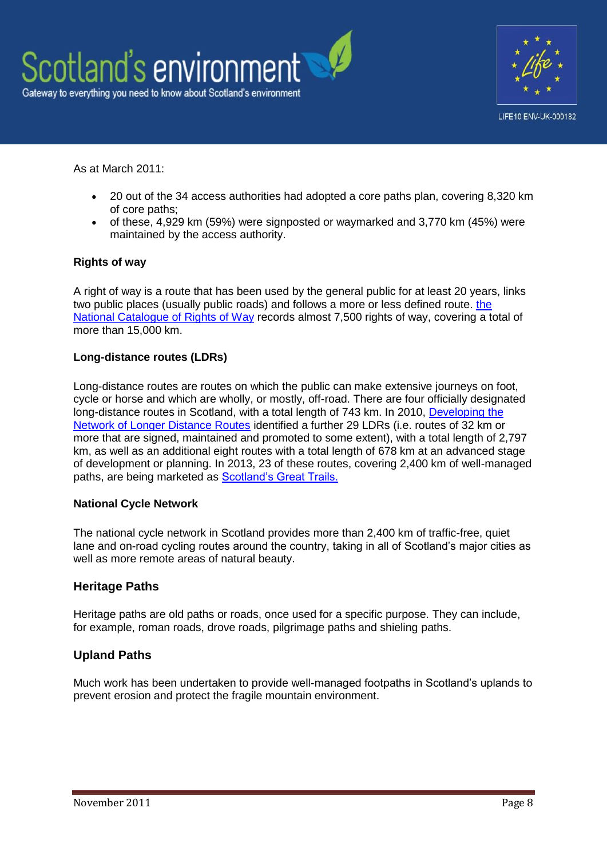



As at March 2011:

- 20 out of the 34 access authorities had adopted a core paths plan, covering 8,320 km of core paths;
- of these, 4,929 km (59%) were signposted or waymarked and 3,770 km (45%) were maintained by the access authority.

#### **Rights of way**

A right of way is a route that has been used by the general public for at least 20 years, links two public places (usually public roads) and follows a more or less defined route. the [National Catalogue of Rights of Way](http://www.scotways.com/index.php?option=com_content&view=article&id=47%3Anational-catalogue-of-rights-of-way-crow&catid=34%3Aabout-rights-of-way&Itemid=66) records almost 7,500 rights of way, covering a total of more than 15,000 km.

#### **Long-distance routes (LDRs)**

Long-distance routes are routes on which the public can make extensive journeys on foot, cycle or horse and which are wholly, or mostly, off-road. There are four officially designated long-distance routes in Scotland, with a total length of 743 km. In 2010, [Developing the](http://www.snh.gov.uk/publications-data-and-research/publications/search-the-catalogue/publication-detail/?id=1526)  [Network of Longer Distance Routes](http://www.snh.gov.uk/publications-data-and-research/publications/search-the-catalogue/publication-detail/?id=1526) identified a further 29 LDRs (i.e. routes of 32 km or more that are signed, maintained and promoted to some extent), with a total length of 2,797 km, as well as an additional eight routes with a total length of 678 km at an advanced stage of development or planning. In 2013, 23 of these routes, covering 2,400 km of well-managed paths, are being marketed as [Scotland's Great Trails.](http://www.snh.gov.uk/enjoying-the-outdoors/where-to-go/routes-to-explore/scotlands-great-trails/)

#### **National Cycle Network**

The national cycle network in Scotland provides more than 2,400 km of traffic-free, quiet lane and on-road cycling routes around the country, taking in all of Scotland's major cities as well as more remote areas of natural beauty.

#### **Heritage Paths**

Heritage paths are old paths or roads, once used for a specific purpose. They can include, for example, roman roads, drove roads, pilgrimage paths and shieling paths.

#### **Upland Paths**

Much work has been undertaken to provide well-managed footpaths in Scotland's uplands to prevent erosion and protect the fragile mountain environment.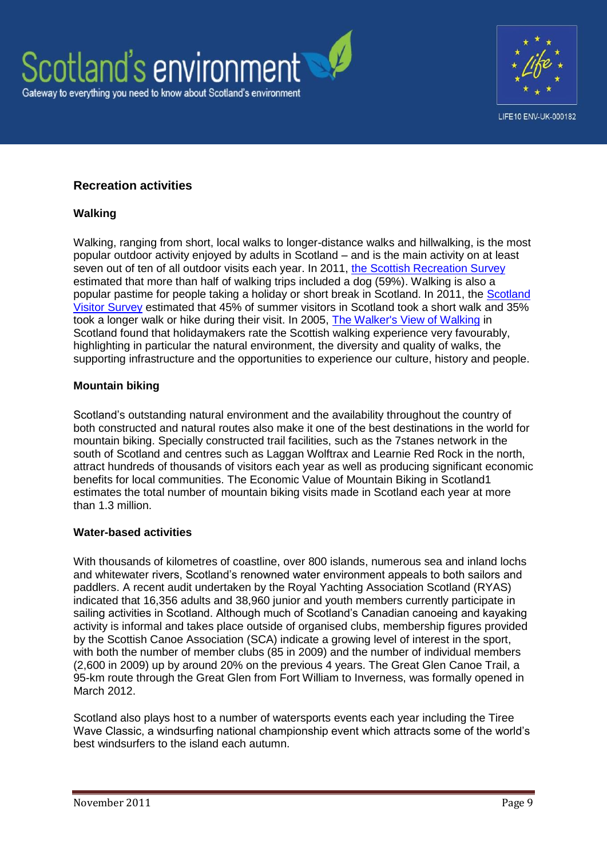



# **Recreation activities**

#### **Walking**

Walking, ranging from short, local walks to longer-distance walks and hillwalking, is the most popular outdoor activity enjoyed by adults in Scotland – and is the main activity on at least seven out of ten of all outdoor visits each year. In 2011, [the Scottish Recreation Survey](http://www.snh.gov.uk/publications-data-and-research/publications/search-the-catalogue/publication-detail/?id=1947) estimated that more than half of walking trips included a dog (59%). Walking is also a popular pastime for people taking a holiday or short break in Scotland. In 2011, the [Scotland](http://www.visitscotland.org/research_and_statistics/visitor_research/all_markets.aspx)  [Visitor Survey](http://www.visitscotland.org/research_and_statistics/visitor_research/all_markets.aspx) estimated that 45% of summer visitors in Scotland took a short walk and 35% took a longer walk or hike during their visit. In 2005, [The Walker's View of Walking](http://www.visitscotland.org/pdf/walkingsummary2005.pdf) in Scotland found that holidaymakers rate the Scottish walking experience very favourably, highlighting in particular the natural environment, the diversity and quality of walks, the supporting infrastructure and the opportunities to experience our culture, history and people.

#### **Mountain biking**

Scotland's outstanding natural environment and the availability throughout the country of both constructed and natural routes also make it one of the best destinations in the world for mountain biking. Specially constructed trail facilities, such as the 7stanes network in the south of Scotland and centres such as Laggan Wolftrax and Learnie Red Rock in the north, attract hundreds of thousands of visitors each year as well as producing significant economic benefits for local communities. The Economic Value of Mountain Biking in Scotland1 estimates the total number of mountain biking visits made in Scotland each year at more than 1.3 million.

#### **Water-based activities**

With thousands of kilometres of coastline, over 800 islands, numerous sea and inland lochs and whitewater rivers, Scotland's renowned water environment appeals to both sailors and paddlers. A recent audit undertaken by the Royal Yachting Association Scotland (RYAS) indicated that 16,356 adults and 38,960 junior and youth members currently participate in sailing activities in Scotland. Although much of Scotland's Canadian canoeing and kayaking activity is informal and takes place outside of organised clubs, membership figures provided by the Scottish Canoe Association (SCA) indicate a growing level of interest in the sport, with both the number of member clubs (85 in 2009) and the number of individual members (2,600 in 2009) up by around 20% on the previous 4 years. The Great Glen Canoe Trail, a 95-km route through the Great Glen from Fort William to Inverness, was formally opened in March 2012.

Scotland also plays host to a number of watersports events each year including the Tiree Wave Classic, a windsurfing national championship event which attracts some of the world's best windsurfers to the island each autumn.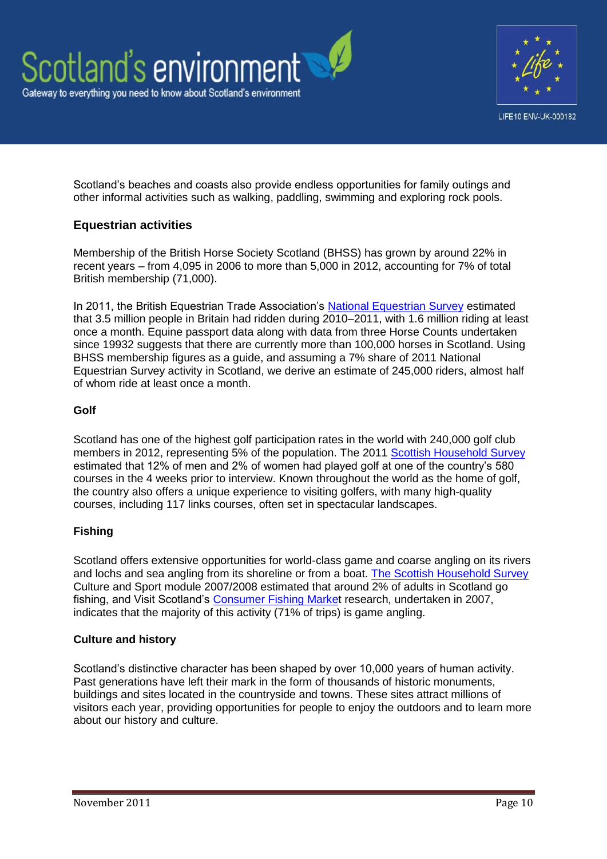



Scotland's beaches and coasts also provide endless opportunities for family outings and other informal activities such as walking, paddling, swimming and exploring rock pools.

## **Equestrian activities**

Membership of the British Horse Society Scotland (BHSS) has grown by around 22% in recent years – from 4,095 in 2006 to more than 5,000 in 2012, accounting for 7% of total British membership (71,000).

In 2011, the British Equestrian Trade Association's [National Equestrian Survey](http://www.beta-uk.org/pages/trade/equestrian-industry-information/market-information.php?searchresult=1&sstring=british+equestrian+survey) estimated that 3.5 million people in Britain had ridden during 2010–2011, with 1.6 million riding at least once a month. Equine passport data along with data from three Horse Counts undertaken since 19932 suggests that there are currently more than 100,000 horses in Scotland. Using BHSS membership figures as a guide, and assuming a 7% share of 2011 National Equestrian Survey activity in Scotland, we derive an estimate of 245,000 riders, almost half of whom ride at least once a month.

### **Golf**

Scotland has one of the highest golf participation rates in the world with 240,000 golf club members in 2012, representing 5% of the population. The 2011 [Scottish Household Survey](http://www.scotland.gov.uk/Publications/2012/08/5277) estimated that 12% of men and 2% of women had played golf at one of the country's 580 courses in the 4 weeks prior to interview. Known throughout the world as the home of golf, the country also offers a unique experience to visiting golfers, with many high-quality courses, including 117 links courses, often set in spectacular landscapes.

## **Fishing**

Scotland offers extensive opportunities for world-class game and coarse angling on its rivers and lochs and sea angling from its shoreline or from a boat. [The Scottish Household Survey](http://www.scotland.gov.uk/Publications/2009/12/14145937/2) Culture and Sport module 2007/2008 estimated that around 2% of adults in Scotland go fishing, and Visit Scotland's [Consumer Fishing Market](http://www.visitscotland.org/research_and_statistics/tourism_sectors/outdoor_activities/country_sports.aspx) research, undertaken in 2007, indicates that the majority of this activity (71% of trips) is game angling.

#### **Culture and history**

Scotland's distinctive character has been shaped by over 10,000 years of human activity. Past generations have left their mark in the form of thousands of historic monuments, buildings and sites located in the countryside and towns. These sites attract millions of visitors each year, providing opportunities for people to enjoy the outdoors and to learn more about our history and culture.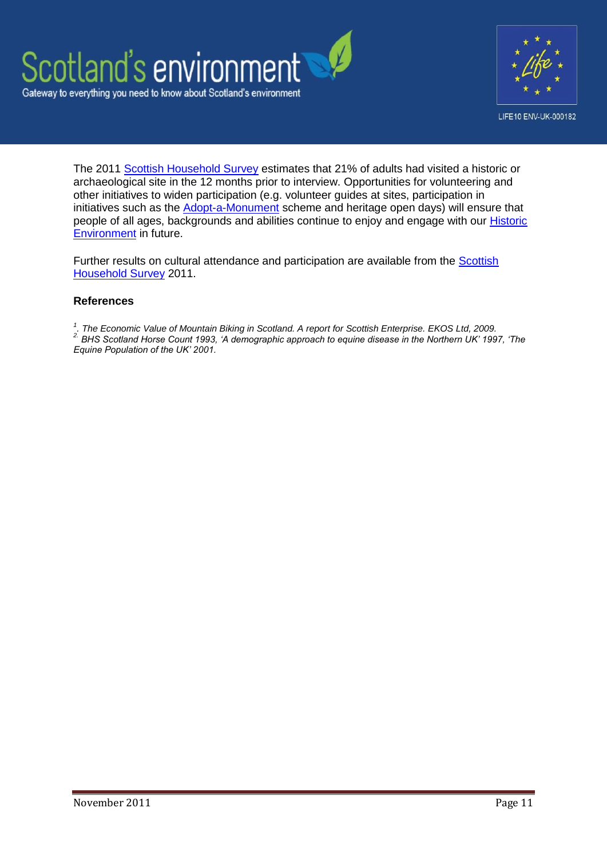



The 2011 [Scottish Household Survey](http://www.scotland.gov.uk/Publications/2009/12/14145937/2) estimates that 21% of adults had visited a historic or archaeological site in the 12 months prior to interview. Opportunities for volunteering and other initiatives to widen participation (e.g. volunteer guides at sites, participation in initiatives such as the [Adopt-a-Monument](http://www.archaeologyscotland.org.uk/our-projects/adopt-monument) scheme and heritage open days) will ensure that people of all ages, backgrounds and abilities continue to enjoy and engage with our [Historic](http://www.environment.scotland.gov.uk/our_environment/built_environment/historic_environment.aspx)  [Environment](http://www.environment.scotland.gov.uk/our_environment/built_environment/historic_environment.aspx) in future.

Further results on cultural attendance and participation are available from the **Scottish** [Household Survey](http://www.scotland.gov.uk/Publications/2009/12/14145937/2) 2011.

#### **References**

*1 . The Economic Value of Mountain Biking in Scotland. A report for Scottish Enterprise. EKOS Ltd, 2009.*

*2. BHS Scotland Horse Count 1993, 'A demographic approach to equine disease in the Northern UK' 1997, 'The Equine Population of the UK' 2001.*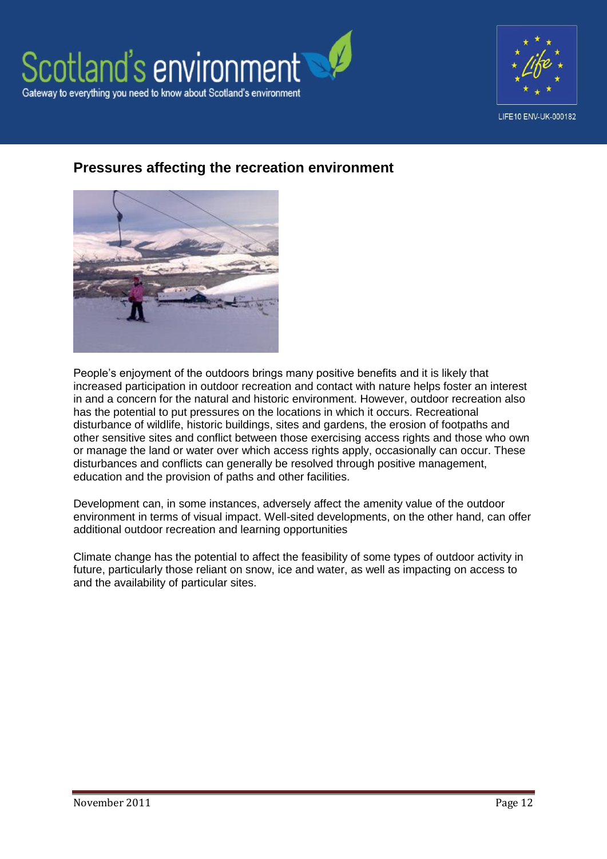



# **Pressures affecting the recreation environment**



People's enjoyment of the outdoors brings many positive benefits and it is likely that increased participation in outdoor recreation and contact with nature helps foster an interest in and a concern for the natural and historic environment. However, outdoor recreation also has the potential to put pressures on the locations in which it occurs. Recreational disturbance of wildlife, historic buildings, sites and gardens, the erosion of footpaths and other sensitive sites and conflict between those exercising access rights and those who own or manage the land or water over which access rights apply, occasionally can occur. These disturbances and conflicts can generally be resolved through positive management, education and the provision of paths and other facilities.

Development can, in some instances, adversely affect the amenity value of the outdoor environment in terms of visual impact. Well-sited developments, on the other hand, can offer additional outdoor recreation and learning opportunities

Climate change has the potential to affect the feasibility of some types of outdoor activity in future, particularly those reliant on snow, ice and water, as well as impacting on access to and the availability of particular sites.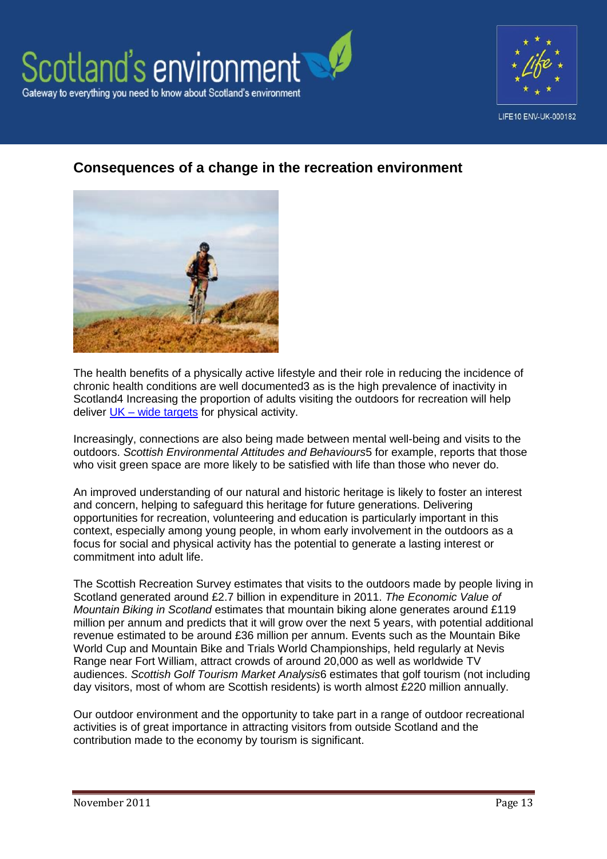



# **Consequences of a change in the recreation environment**



The health benefits of a physically active lifestyle and their role in reducing the incidence of chronic health conditions are well documented3 as is the high prevalence of inactivity in Scotland4 Increasing the proportion of adults visiting the outdoors for recreation will help deliver  $UK - wide \t{tare}$  for physical activity.

Increasingly, connections are also being made between mental well-being and visits to the outdoors. *Scottish Environmental Attitudes and Behaviours*5 for example, reports that those who visit green space are more likely to be satisfied with life than those who never do.

An improved understanding of our natural and historic heritage is likely to foster an interest and concern, helping to safeguard this heritage for future generations. Delivering opportunities for recreation, volunteering and education is particularly important in this context, especially among young people, in whom early involvement in the outdoors as a focus for social and physical activity has the potential to generate a lasting interest or commitment into adult life.

The Scottish Recreation Survey estimates that visits to the outdoors made by people living in Scotland generated around £2.7 billion in expenditure in 2011. *The Economic Value of Mountain Biking in Scotland* estimates that mountain biking alone generates around £119 million per annum and predicts that it will grow over the next 5 years, with potential additional revenue estimated to be around £36 million per annum. Events such as the Mountain Bike World Cup and Mountain Bike and Trials World Championships, held regularly at Nevis Range near Fort William, attract crowds of around 20,000 as well as worldwide TV audiences. *Scottish Golf Tourism Market Analysis*6 estimates that golf tourism (not including day visitors, most of whom are Scottish residents) is worth almost £220 million annually.

Our outdoor environment and the opportunity to take part in a range of outdoor recreational activities is of great importance in attracting visitors from outside Scotland and the contribution made to the economy by tourism is significant.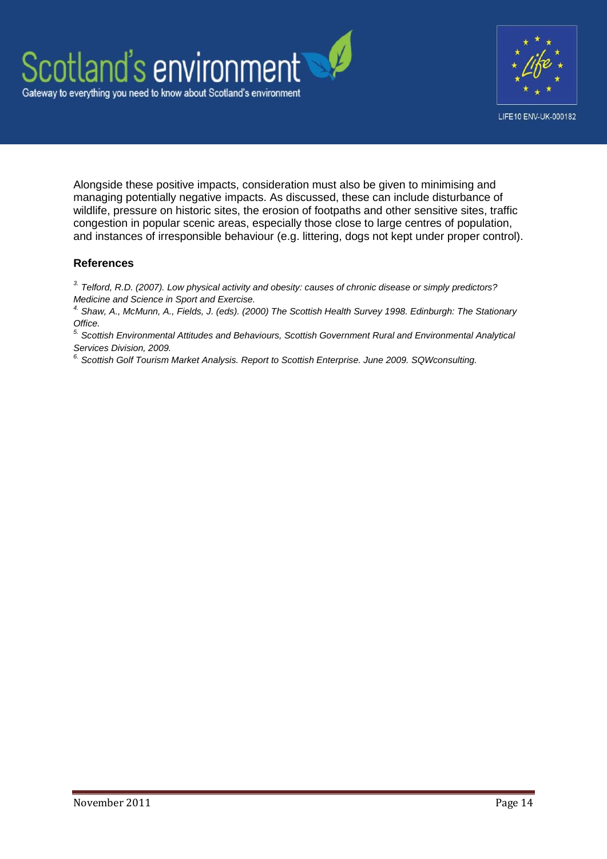



Alongside these positive impacts, consideration must also be given to minimising and managing potentially negative impacts. As discussed, these can include disturbance of wildlife, pressure on historic sites, the erosion of footpaths and other sensitive sites, traffic congestion in popular scenic areas, especially those close to large centres of population, and instances of irresponsible behaviour (e.g. littering, dogs not kept under proper control).

### **References**

*3. Telford, R.D. (2007). Low physical activity and obesity: causes of chronic disease or simply predictors? Medicine and Science in Sport and Exercise.*

*4. Shaw, A., McMunn, A., Fields, J. (eds). (2000) The Scottish Health Survey 1998. Edinburgh: The Stationary Office.*

*5. Scottish Environmental Attitudes and Behaviours, Scottish Government Rural and Environmental Analytical Services Division, 2009.*

*6. Scottish Golf Tourism Market Analysis. Report to Scottish Enterprise. June 2009. SQWconsulting.*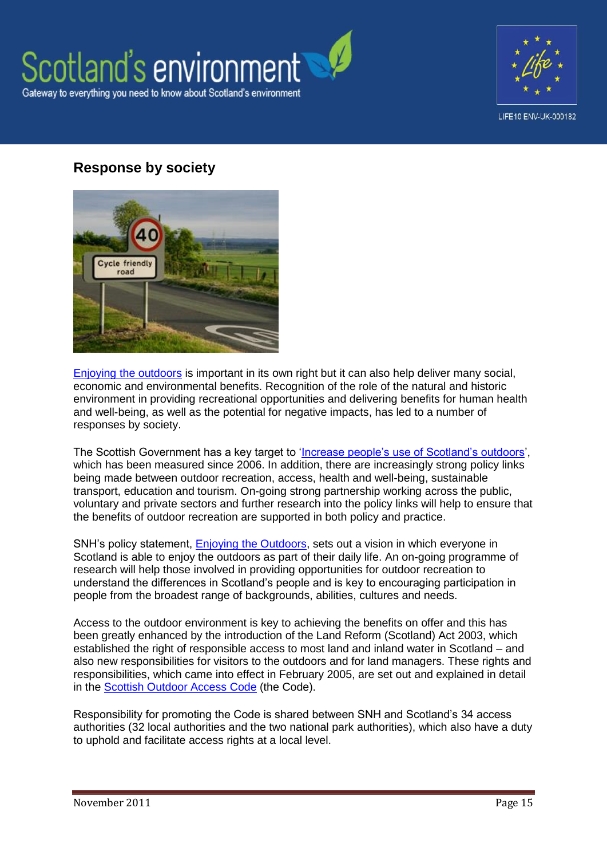



# **Response by society**



Enjoying [the outdoors](http://www.snh.gov.uk/land-and-sea/managing-recreation-and-access/access-and-recreation-policy/enjoying-the-outdoors-policy/) is important in its own right but it can also help deliver many social, economic and environmental benefits. Recognition of the role of the natural and historic environment in providing recreational opportunities and delivering benefits for human health and well-being, as well as the potential for negative impacts, has led to a number of responses by society.

The Scottish Government has a key target to ['Increase people's use of Scotland's outdoors'](http://www.scotland.gov.uk/About/Performance/scotPerforms/indicator/outdoors), which has been measured since 2006. In addition, there are increasingly strong policy links being made between outdoor recreation, access, health and well-being, sustainable transport, education and tourism. On-going strong partnership working across the public, voluntary and private sectors and further research into the policy links will help to ensure that the benefits of outdoor recreation are supported in both policy and practice.

SNH's policy statement, [Enjoying the Outdoors,](http://www.snh.gov.uk/land-and-sea/managing-recreation-and-access/access-and-recreation-policy/enjoying-the-outdoors-policy/) sets out a vision in which everyone in Scotland is able to enjoy the outdoors as part of their daily life. An on-going programme of research will help those involved in providing opportunities for outdoor recreation to understand the differences in Scotland's people and is key to encouraging participation in people from the broadest range of backgrounds, abilities, cultures and needs.

Access to the outdoor environment is key to achieving the benefits on offer and this has been greatly enhanced by the introduction of the Land Reform (Scotland) Act 2003, which established the right of responsible access to most land and inland water in Scotland – and also new responsibilities for visitors to the outdoors and for land managers. These rights and responsibilities, which came into effect in February 2005, are set out and explained in detail in the [Scottish Outdoor Access Code](http://www.outdooraccess-scotland.com/) (the Code).

Responsibility for promoting the Code is shared between SNH and Scotland's 34 access authorities (32 local authorities and the two national park authorities), which also have a duty to uphold and facilitate access rights at a local level.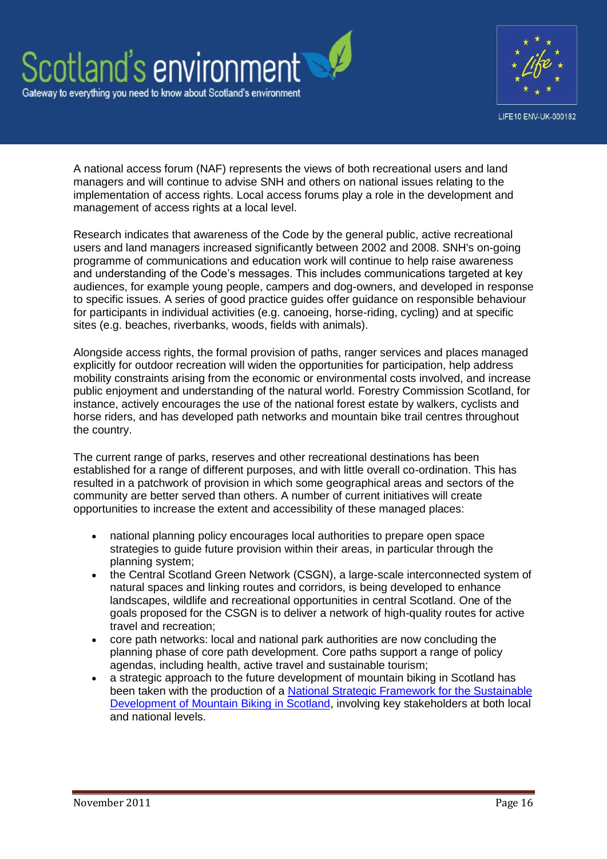



A national access forum (NAF) represents the views of both recreational users and land managers and will continue to advise SNH and others on national issues relating to the implementation of access rights. Local access forums play a role in the development and management of access rights at a local level.

Research indicates that awareness of the Code by the general public, active recreational users and land managers increased significantly between 2002 and 2008. SNH's on-going programme of communications and education work will continue to help raise awareness and understanding of the Code's messages. This includes communications targeted at key audiences, for example young people, campers and dog-owners, and developed in response to specific issues. A series of good practice guides offer guidance on responsible behaviour for participants in individual activities (e.g. canoeing, horse-riding, cycling) and at specific sites (e.g. beaches, riverbanks, woods, fields with animals).

Alongside access rights, the formal provision of paths, ranger services and places managed explicitly for outdoor recreation will widen the opportunities for participation, help address mobility constraints arising from the economic or environmental costs involved, and increase public enjoyment and understanding of the natural world. Forestry Commission Scotland, for instance, actively encourages the use of the national forest estate by walkers, cyclists and horse riders, and has developed path networks and mountain bike trail centres throughout the country.

The current range of parks, reserves and other recreational destinations has been established for a range of different purposes, and with little overall co-ordination. This has resulted in a patchwork of provision in which some geographical areas and sectors of the community are better served than others. A number of current initiatives will create opportunities to increase the extent and accessibility of these managed places:

- national planning policy encourages local authorities to prepare open space strategies to guide future provision within their areas, in particular through the planning system;
- the Central Scotland Green Network (CSGN), a large-scale interconnected system of natural spaces and linking routes and corridors, is being developed to enhance landscapes, wildlife and recreational opportunities in central Scotland. One of the goals proposed for the CSGN is to deliver a network of high-quality routes for active travel and recreation;
- core path networks: local and national park authorities are now concluding the planning phase of core path development. Core paths support a range of policy agendas, including health, active travel and sustainable tourism;
- a strategic approach to the future development of mountain biking in Scotland has been taken with the production of a [National Strategic Framework for the Sustainable](http://www.forestry.gov.uk/pdf/MTBstrategycomplete.pdf/$file/MTBstrategycomplete.pdf)  [Development of Mountain Biking in Scotland,](http://www.forestry.gov.uk/pdf/MTBstrategycomplete.pdf/$file/MTBstrategycomplete.pdf) involving key stakeholders at both local and national levels.